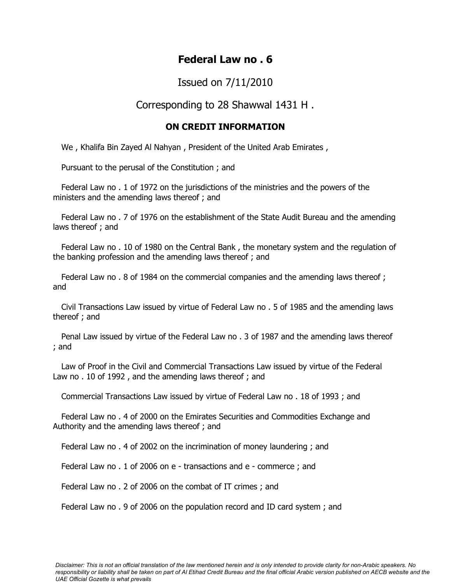## **Federal Law no . 6**

#### Issued on 7/11/2010

#### Corresponding to 28 Shawwal 1431 H .

#### **ON CREDIT INFORMATION**

We , Khalifa Bin Zayed Al Nahyan , President of the United Arab Emirates ,

Pursuant to the perusal of the Constitution ; and

Federal Law no . 1 of 1972 on the jurisdictions of the ministries and the powers of the ministers and the amending laws thereof ; and

Federal Law no . 7 of 1976 on the establishment of the State Audit Bureau and the amending laws thereof ; and

Federal Law no . 10 of 1980 on the Central Bank , the monetary system and the regulation of the banking profession and the amending laws thereof ; and

Federal Law no . 8 of 1984 on the commercial companies and the amending laws thereof ; and

Civil Transactions Law issued by virtue of Federal Law no . 5 of 1985 and the amending laws thereof ; and

Penal Law issued by virtue of the Federal Law no . 3 of 1987 and the amending laws thereof ; and

Law of Proof in the Civil and Commercial Transactions Law issued by virtue of the Federal Law no . 10 of 1992 , and the amending laws thereof ; and

Commercial Transactions Law issued by virtue of Federal Law no . 18 of 1993 ; and

Federal Law no . 4 of 2000 on the Emirates Securities and Commodities Exchange and Authority and the amending laws thereof ; and

Federal Law no . 4 of 2002 on the incrimination of money laundering ; and

Federal Law no . 1 of 2006 on e - transactions and e - commerce ; and

Federal Law no . 2 of 2006 on the combat of IT crimes ; and

Federal Law no . 9 of 2006 on the population record and ID card system ; and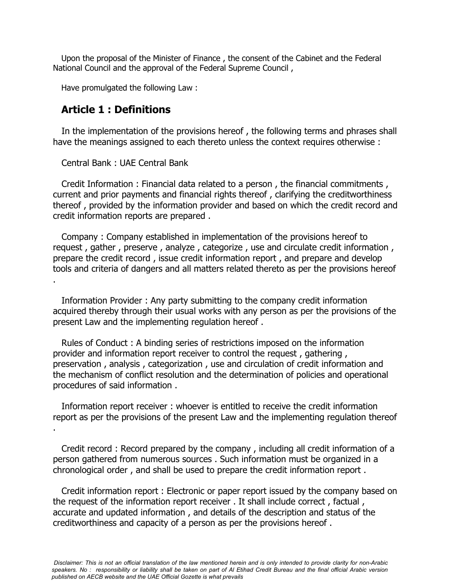Upon the proposal of the Minister of Finance , the consent of the Cabinet and the Federal National Council and the approval of the Federal Supreme Council ,

Have promulgated the following Law :

#### **Article 1 : Definitions**

In the implementation of the provisions hereof , the following terms and phrases shall have the meanings assigned to each thereto unless the context requires otherwise :

Central Bank : UAE Central Bank

Credit Information : Financial data related to a person , the financial commitments , current and prior payments and financial rights thereof , clarifying the creditworthiness thereof , provided by the information provider and based on which the credit record and credit information reports are prepared .

Company : Company established in implementation of the provisions hereof to request , gather , preserve , analyze , categorize , use and circulate credit information , prepare the credit record , issue credit information report , and prepare and develop tools and criteria of dangers and all matters related thereto as per the provisions hereof .

Information Provider : Any party submitting to the company credit information acquired thereby through their usual works with any person as per the provisions of the present Law and the implementing regulation hereof .

Rules of Conduct : A binding series of restrictions imposed on the information provider and information report receiver to control the request , gathering , preservation , analysis , categorization , use and circulation of credit information and the mechanism of conflict resolution and the determination of policies and operational procedures of said information .

Information report receiver : whoever is entitled to receive the credit information report as per the provisions of the present Law and the implementing regulation thereof .

Credit record : Record prepared by the company , including all credit information of a person gathered from numerous sources . Such information must be organized in a chronological order , and shall be used to prepare the credit information report .

Credit information report : Electronic or paper report issued by the company based on the request of the information report receiver . It shall include correct , factual , accurate and updated information , and details of the description and status of the creditworthiness and capacity of a person as per the provisions hereof .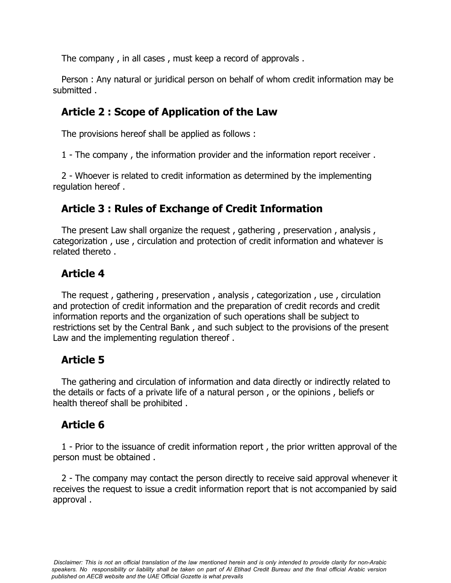The company , in all cases , must keep a record of approvals .

Person : Any natural or juridical person on behalf of whom credit information may be submitted .

### **Article 2 : Scope of Application of the Law**

The provisions hereof shall be applied as follows :

1 - The company , the information provider and the information report receiver .

2 - Whoever is related to credit information as determined by the implementing regulation hereof .

# **Article 3 : Rules of Exchange of Credit Information**

The present Law shall organize the request , gathering , preservation , analysis , categorization , use , circulation and protection of credit information and whatever is related thereto .

# **Article 4**

The request , gathering , preservation , analysis , categorization , use , circulation and protection of credit information and the preparation of credit records and credit information reports and the organization of such operations shall be subject to restrictions set by the Central Bank , and such subject to the provisions of the present Law and the implementing regulation thereof .

# **Article 5**

The gathering and circulation of information and data directly or indirectly related to the details or facts of a private life of a natural person , or the opinions , beliefs or health thereof shall be prohibited .

# **Article 6**

1 - Prior to the issuance of credit information report , the prior written approval of the person must be obtained .

2 - The company may contact the person directly to receive said approval whenever it receives the request to issue a credit information report that is not accompanied by said approval .

*Disclaimer: This is not an official translation of the law mentioned herein and is only intended to provide clarity for non-Arabic speakers. No responsibility or liability shall be taken on part of Al Etihad Credit Bureau and the final official Arabic version published on AECB website and the UAE Official Gozette is what prevails*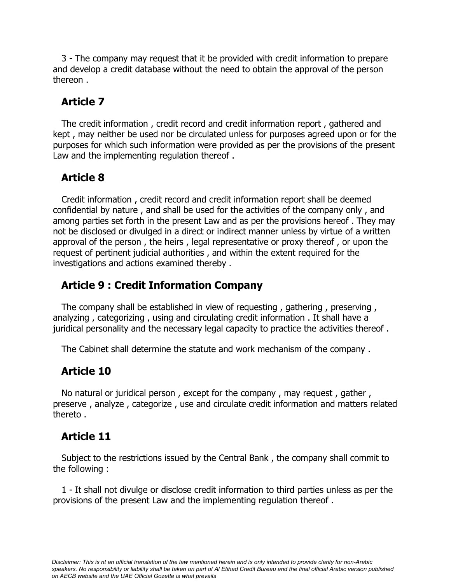3 - The company may request that it be provided with credit information to prepare and develop a credit database without the need to obtain the approval of the person thereon .

# **Article 7**

The credit information , credit record and credit information report , gathered and kept , may neither be used nor be circulated unless for purposes agreed upon or for the purposes for which such information were provided as per the provisions of the present Law and the implementing regulation thereof .

# **Article 8**

Credit information , credit record and credit information report shall be deemed confidential by nature , and shall be used for the activities of the company only , and among parties set forth in the present Law and as per the provisions hereof . They may not be disclosed or divulged in a direct or indirect manner unless by virtue of a written approval of the person , the heirs , legal representative or proxy thereof , or upon the request of pertinent judicial authorities , and within the extent required for the investigations and actions examined thereby .

# **Article 9 : Credit Information Company**

The company shall be established in view of requesting , gathering , preserving , analyzing , categorizing , using and circulating credit information . It shall have a juridical personality and the necessary legal capacity to practice the activities thereof .

The Cabinet shall determine the statute and work mechanism of the company .

# **Article 10**

No natural or juridical person , except for the company , may request , gather , preserve , analyze , categorize , use and circulate credit information and matters related thereto .

# **Article 11**

Subject to the restrictions issued by the Central Bank , the company shall commit to the following :

1 - It shall not divulge or disclose credit information to third parties unless as per the provisions of the present Law and the implementing regulation thereof .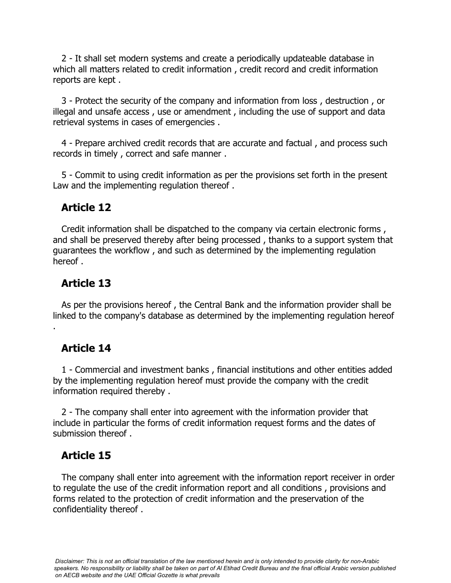2 - It shall set modern systems and create a periodically updateable database in which all matters related to credit information , credit record and credit information reports are kept .

3 - Protect the security of the company and information from loss , destruction , or illegal and unsafe access , use or amendment , including the use of support and data retrieval systems in cases of emergencies .

4 - Prepare archived credit records that are accurate and factual , and process such records in timely , correct and safe manner .

5 - Commit to using credit information as per the provisions set forth in the present Law and the implementing regulation thereof .

#### **Article 12**

Credit information shall be dispatched to the company via certain electronic forms , and shall be preserved thereby after being processed , thanks to a support system that guarantees the workflow , and such as determined by the implementing regulation hereof .

### **Article 13**

As per the provisions hereof , the Central Bank and the information provider shall be linked to the company's database as determined by the implementing regulation hereof

### **Article 14**

.

1 - Commercial and investment banks , financial institutions and other entities added by the implementing regulation hereof must provide the company with the credit information required thereby .

2 - The company shall enter into agreement with the information provider that include in particular the forms of credit information request forms and the dates of submission thereof .

### **Article 15**

The company shall enter into agreement with the information report receiver in order to regulate the use of the credit information report and all conditions , provisions and forms related to the protection of credit information and the preservation of the confidentiality thereof .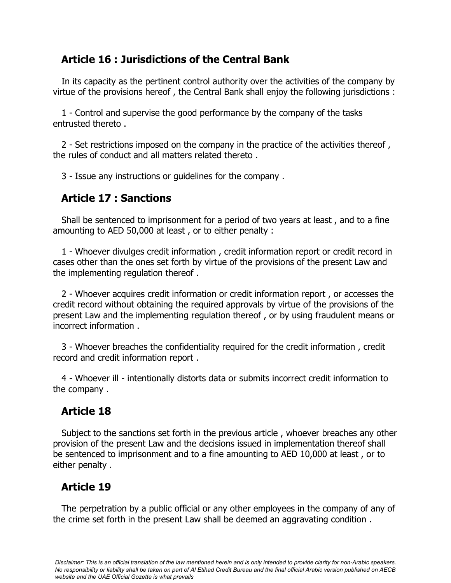### **Article 16 : Jurisdictions of the Central Bank**

In its capacity as the pertinent control authority over the activities of the company by virtue of the provisions hereof , the Central Bank shall enjoy the following jurisdictions :

1 - Control and supervise the good performance by the company of the tasks entrusted thereto .

2 - Set restrictions imposed on the company in the practice of the activities thereof , the rules of conduct and all matters related thereto .

3 - Issue any instructions or guidelines for the company .

#### **Article 17 : Sanctions**

Shall be sentenced to imprisonment for a period of two years at least , and to a fine amounting to AED 50,000 at least , or to either penalty :

1 - Whoever divulges credit information , credit information report or credit record in cases other than the ones set forth by virtue of the provisions of the present Law and the implementing regulation thereof .

2 - Whoever acquires credit information or credit information report , or accesses the credit record without obtaining the required approvals by virtue of the provisions of the present Law and the implementing regulation thereof , or by using fraudulent means or incorrect information .

3 - Whoever breaches the confidentiality required for the credit information , credit record and credit information report .

4 - Whoever ill - intentionally distorts data or submits incorrect credit information to the company .

### **Article 18**

Subject to the sanctions set forth in the previous article , whoever breaches any other provision of the present Law and the decisions issued in implementation thereof shall be sentenced to imprisonment and to a fine amounting to AED 10,000 at least , or to either penalty .

### **Article 19**

The perpetration by a public official or any other employees in the company of any of the crime set forth in the present Law shall be deemed an aggravating condition .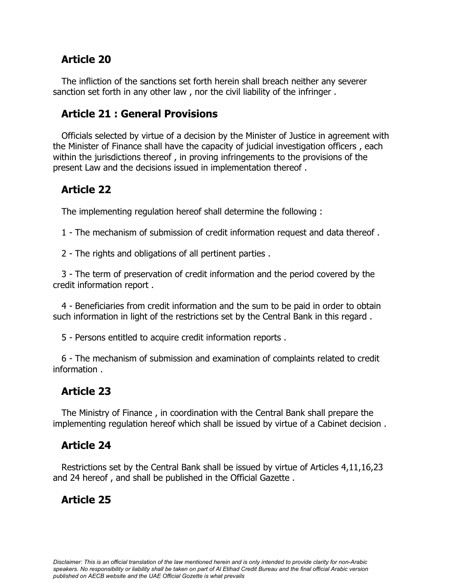### **Article 20**

The infliction of the sanctions set forth herein shall breach neither any severer sanction set forth in any other law , nor the civil liability of the infringer .

#### **Article 21 : General Provisions**

Officials selected by virtue of a decision by the Minister of Justice in agreement with the Minister of Finance shall have the capacity of judicial investigation officers , each within the jurisdictions thereof , in proving infringements to the provisions of the present Law and the decisions issued in implementation thereof .

#### **Article 22**

The implementing regulation hereof shall determine the following :

1 - The mechanism of submission of credit information request and data thereof .

2 - The rights and obligations of all pertinent parties .

3 - The term of preservation of credit information and the period covered by the credit information report .

4 - Beneficiaries from credit information and the sum to be paid in order to obtain such information in light of the restrictions set by the Central Bank in this regard .

5 - Persons entitled to acquire credit information reports .

6 - The mechanism of submission and examination of complaints related to credit information .

### **Article 23**

The Ministry of Finance , in coordination with the Central Bank shall prepare the implementing regulation hereof which shall be issued by virtue of a Cabinet decision .

#### **Article 24**

Restrictions set by the Central Bank shall be issued by virtue of Articles 4,11,16,23 and 24 hereof , and shall be published in the Official Gazette .

### **Article 25**